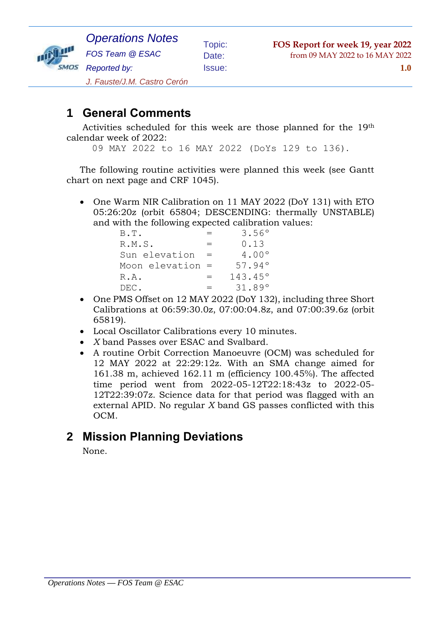

### **1 General Comments**

Activities scheduled for this week are those planned for the 19th calendar week of 2022:

09 MAY 2022 to 16 MAY 2022 (DoYs 129 to 136).

The following routine activities were planned this week (see Gantt chart on next page and CRF 1045).

 One Warm NIR Calibration on 11 MAY 2022 (DoY 131) with ETO 05:26:20z (orbit 65804; DESCENDING: thermally UNSTABLE) and with the following expected calibration values:

| B.T.               |     | 3.56°            |
|--------------------|-----|------------------|
| R.M.S.             | $=$ | 0.13             |
| Sun elevation      |     | $4.00^{\circ}$   |
| Moon elevation $=$ |     | 57.94°           |
| R.A.               | =   | $143.45^{\circ}$ |
| DEC.               | $=$ | 31.89°           |

- One PMS Offset on 12 MAY 2022 (DoY 132), including three Short Calibrations at 06:59:30.0z, 07:00:04.8z, and 07:00:39.6z (orbit 65819).
- Local Oscillator Calibrations every 10 minutes.
- *X* band Passes over ESAC and Svalbard.
- A routine Orbit Correction Manoeuvre (OCM) was scheduled for 12 MAY 2022 at 22:29:12z. With an SMA change aimed for 161.38 m, achieved 162.11 m (efficiency 100.45%). The affected time period went from 2022-05-12T22:18:43z to 2022-05- 12T22:39:07z. Science data for that period was flagged with an external APID. No regular *X* band GS passes conflicted with this OCM.

### **2 Mission Planning Deviations**

None.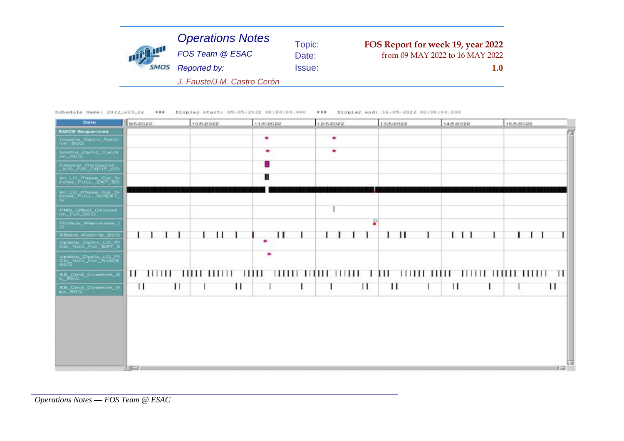| <b>STATE</b> | <b>Operations Notes</b>     | Topic:        | FOS Report for week 19, year 2022 |
|--------------|-----------------------------|---------------|-----------------------------------|
|              | FOS Team @ ESAC             | Date:         | from 09 MAY 2022 to 16 MAY 2022   |
|              | Reported by:                | <b>Issue:</b> | 1.0                               |
|              | J. Fauste/J.M. Castro Cerón |               |                                   |

Schedule Hame: 2022\_w19\_cr ### Display start: 09-05-2022 00:00:00.000 ### Display end: 16-05-2022 00:00:00.000

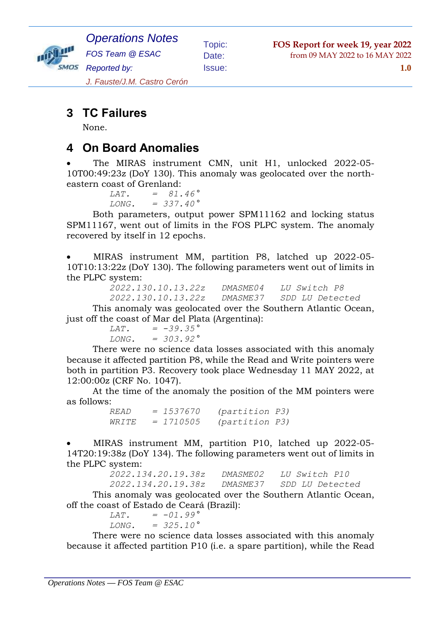

*Operations Notes FOS Team @ ESAC Reported by:*

Topic: **FOS Report for week 19, year 2022** Date: from 09 MAY 2022 to 16 MAY 2022

Issue: **1.0**

*J. Fauste/J.M. Castro Cerón*

## **3 TC Failures**

None.

### **4 On Board Anomalies**

 The MIRAS instrument CMN, unit H1, unlocked 2022-05- 10T00:49:23z (DoY 130). This anomaly was geolocated over the northeastern coast of Grenland:

 *LAT. = 81.46° LONG. = 337.40°*

Both parameters, output power SPM11162 and locking status SPM11167, went out of limits in the FOS PLPC system. The anomaly recovered by itself in 12 epochs.

 MIRAS instrument MM, partition P8, latched up 2022-05- 10T10:13:22z (DoY 130). The following parameters went out of limits in the PLPC system:

| 2022.130.10.13.22z | DMA SMF 04 | <i>LU Switch P8</i> |
|--------------------|------------|---------------------|
| 2022.130.10.13.22z | DMASME37   | SDD LU Detected     |

This anomaly was geolocated over the Southern Atlantic Ocean, just off the coast of Mar del Plata (Argentina):

> *LAT. = -39.35° LONG. = 303.92°*

There were no science data losses associated with this anomaly because it affected partition P8, while the Read and Write pointers were both in partition P3. Recovery took place Wednesday 11 MAY 2022, at 12:00:00z (CRF No. 1047).

At the time of the anomaly the position of the MM pointers were as follows:

 *READ = 1537670 (partition P3) WRITE = 1710505 (partition P3)*

 MIRAS instrument MM, partition P10, latched up 2022-05- 14T20:19:38z (DoY 134). The following parameters went out of limits in the PLPC system:

| 2022.134.20.19.38z | <i>DMASME02</i> | <i>LU Switch P10</i> |
|--------------------|-----------------|----------------------|
| 2022.134.20.19.38z | DMASME37        | SDD LU Detected      |

This anomaly was geolocated over the Southern Atlantic Ocean, off the coast of Estado de Ceará (Brazil):

> *LAT. = -01.99° LONG. = 325.10°*

There were no science data losses associated with this anomaly because it affected partition P10 (i.e. a spare partition), while the Read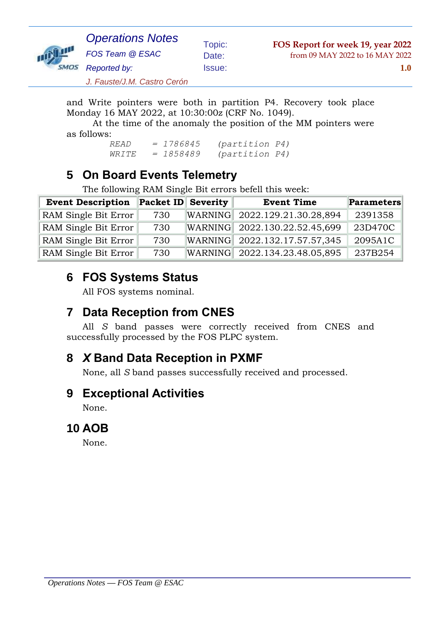

Topic: **FOS Report for week 19, year 2022** Date: from 09 MAY 2022 to 16 MAY 2022

*J. Fauste/J.M. Castro Cerón*

and Write pointers were both in partition P4. Recovery took place Monday 16 MAY 2022, at 10:30:00z (CRF No. 1049).

At the time of the anomaly the position of the MM pointers were as follows:

 *READ = 1786845 (partition P4) WRITE = 1858489 (partition P4)*

### **5 On Board Events Telemetry**

The following RAM Single Bit errors befell this week:

| <b>Event Description</b> | <b>Packet ID Severity</b> |         | <b>Event Time</b>             | Parameters |
|--------------------------|---------------------------|---------|-------------------------------|------------|
| RAM Single Bit Error     | 730                       | WARNING | 2022.129.21.30.28,894         | 2391358    |
| RAM Single Bit Error     | 730                       |         | WARNING 2022.130.22.52.45,699 | 23D470C    |
| RAM Single Bit Error     | 730                       |         | WARNING 2022.132.17.57.57,345 | 2095A1C    |
| RAM Single Bit Error     | 730                       | WARNING | 2022.134.23.48.05,895         | 237B254    |

## **6 FOS Systems Status**

All FOS systems nominal.

### **7 Data Reception from CNES**

All *S* band passes were correctly received from CNES and successfully processed by the FOS PLPC system.

# **8** *X* **Band Data Reception in PXMF**

None, all *S* band passes successfully received and processed.

### **9 Exceptional Activities**

None.

#### **10 AOB**

None.